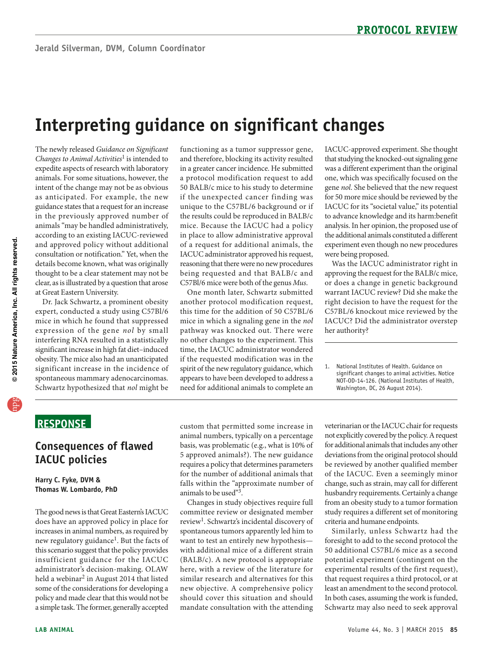# **Interpreting guidance on significant changes**

 The newly released *Guidance on Significant Changes to Animal Activities*1 is intended to expedite aspects of research with laboratory intent of the change may not be as obvious in the previously approved number of animals "may be handled administratively, consultation or notification." Yet, when the animals. For some situations, however, the as anticipated. For example, the new guidance states that a request for an increase according to an existing IACUC-reviewed and approved policy without additional details become known, what was originally thought to be a clear statement may not be clear, as is illustrated by a question that arose at Great Eastern University.

 Dr. Jack Schwartz, a prominent obesity expert, conducted a study using C57Bl/6 mice in which he found that suppressed expression of the gene nol by small interfering RNA resulted in a statistically significant increase in high fat diet–induced obesity. The mice also had an unanticipated significant increase in the incidence of spontaneous mammary adenocarcinomas. Schwartz hypothesized that *nol* might be

 and therefore, blocking its activity resulted in a greater cancer incidence. He submitted 50 BALB/c mice to his study to determine in place to allow administrative approval of a request for additional animals, the reasoning that there were no new procedures functioning as a tumor suppressor gene, a protocol modification request to add if the unexpected cancer finding was unique to the C57BL/6 background or if the results could be reproduced in BALB/c mice. Because the IACUC had a policy IACUC administrator approved his request, being requested and that BALB/c and C57Bl/6 mice were both of the genus *Mus*.

One month later, Schwartz submitted another protocol modification request, this time for the addition of 50 C57BL/6 mice in which a signaling gene in the *nol*  pathway was knocked out. There were no other changes to the experiment. This time, the IACUC administrator wondered if the requested modification was in the spirit of the new regulatory guidance, which appears to have been developed to address a need for additional animals to complete an

 the additional animals constituted a different IACUC-approved experiment. She thought that studying the knocked-out signaling gene was a different experiment than the original one, which was specifically focused on the gene *nol*. She believed that the new request for 50 more mice should be reviewed by the IACUC for its "societal value," its potential to advance knowledge and its harm:benefit analysis. In her opinion, the proposed use of experiment even though no new procedures were being proposed.

Was the IACUC administrator right in approving the request for the BALB/c mice, or does a change in genetic background warrant IACUC review? Did she make the right decision to have the request for the C57BL/6 knockout mice reviewed by the IACUC? Did the administrator overstep her authority?

# **ReSponSe**

#### **Consequences of flawed IACUC policies**

**Harry C. Fyke, DVM & Thomas W. Lombardo, phD** 

 this scenario suggest that the policy provides some of the considerations for developing a a simple task. The former, generally accepted The good news is that Great Eastern's IACUC does have an approved policy in place for increases in animal numbers, as required by new regulatory guidance<sup>1</sup>. But the facts of insufficient guidance for the IACUC administrator's decision-making. OLAW held a webinar<sup>2</sup> in August 2014 that listed policy and made clear that this would not be

 animal numbers, typically on a percentage requires a policy that determines parameters custom that permitted some increase in basis, was problematic (e.g., what is 10% of 5 approved animals?). The new guidance for the number of additional animals that falls within the "approximate number of animals to be used"<sup>3</sup>.

review<sup>1</sup>. Schwartz's incidental discovery of (BALB/c). A new protocol is appropriate mandate consultation with the attending Changes in study objectives require full committee review or designated member spontaneous tumors apparently led him to want to test an entirely new hypothesis with additional mice of a different strain here, with a review of the literature for similar research and alternatives for this new objective. A comprehensive policy should cover this situation and should

veterinarian or the IACUC chair for requests not explicitly covered by the policy. A request for additional animals that includes any other deviations from the original protocol should be reviewed by another qualified member of the IACUC. Even a seemingly minor change, such as strain, may call for different husbandry requirements. Certainly a change from an obesity study to a tumor formation study requires a different set of monitoring criteria and humane endpoints.

Similarly, unless Schwartz had the foresight to add to the second protocol the 50 additional C57BL/6 mice as a second potential experiment (contingent on the experimental results of the first request), that request requires a third protocol, or at least an amendment to the second protocol. In both cases, assuming the work is funded, Schwartz may also need to seek approval

<sup>1.</sup> National Institutes of Health. Guidance on significant changes to animal activities. Notice NOT-OD-14-126. (National Institutes of Health, Washington, DC, 26 August 2014).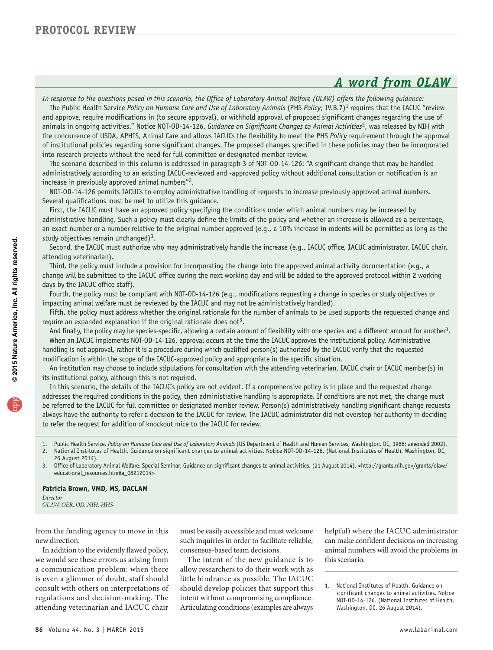# *A word from OLAW*

*In response to the questions posed in this scenario, the Office of Laboratory Animal Welfare (OLAW) offers the following guidance:* 

The Public Health Service *Policy on Humane Care and Use of Laboratory Animals* (PHS *Policy*; IV.B.7)<sup>1</sup> requires that the IACUC "review and approve, require modifications in (to secure approval), or withhold approval of proposed significant changes regarding the use of animals in ongoing activities." Notice NOT-OD-14-126, *Guidance on Significant Changes to Animal Activities<sup>2</sup>*, was released by NIH with the concurrence of USDA, APHIS, Animal Care and allows IACUCs the flexibility to meet the PHS *Policy* requirement through the approval of institutional policies regarding some significant changes. The proposed changes specified in these policies may then be incorporated into research projects without the need for full committee or designated member review.

The scenario described in this column is addressed in paragraph 3 of NOT-OD-14-126: "A significant change that may be handled administratively according to an existing IACUC-reviewed and -approved policy without additional consultation or notification is an increase in previously approved animal numbers"<sup>2</sup>.

NOT-OD-14-126 permits IACUCs to employ administrative handling of requests to increase previously approved animal numbers. Several qualifications must be met to utilize this guidance.

First, the IACUC must have an approved policy specifying the conditions under which animal numbers may be increased by administrative handling. Such a policy must clearly define the limits of the policy and whether an increase is allowed as a percentage, an exact number or a number relative to the original number approved (e.g., a 10% increase in rodents will be permitted as long as the study objectives remain unchanged)<sup>3</sup>.

Second, the IACUC must authorize who may administratively handle the increase (e.g., IACUC office, IACUC administrator, IACUC chair, attending veterinarian).

Third, the policy must include a provision for incorporating the change into the approved animal activity documentation (e.g., a change will be submitted to the IACUC office during the next working day and will be added to the approved protocol within 2 working days by the IACUC office staff).

Fourth, the policy must be compliant with NOT-OD-14-126 (e.g., modifications requesting a change in species or study objectives or impacting animal welfare must be reviewed by the IACUC and may not be administratively handled).

Fifth, the policy must address whether the original rationale for the number of animals to be used supports the requested change and require an expanded explanation if the original rationale does not<sup>3</sup>.

And finally, the policy may be species-specific, allowing a certain amount of flexibility with one species and a different amount for another<sup>3</sup>. When an IACUC implements NOT-OD-14-126, approval occurs at the time the IACUC approves the institutional policy. Administrative handling is not approval, rather it is a procedure during which qualified person(s) authorized by the IACUC verify that the requested modification is within the scope of the IACUC-approved policy and appropriate in the specific situation.

An institution may choose to include stipulations for consultation with the attending veterinarian, IACUC chair or IACUC member(s) in its institutional policy, although this is not required.

In this scenario, the details of the IACUC's policy are not evident. If a comprehensive policy is in place and the requested change addresses the required conditions in the policy, then administrative handling is appropriate. If conditions are not met, the change must be referred to the IACUC for full committee or designated member review. Person(s) administratively handling significant change requests always have the authority to refer a decision to the IACUC for review. The IACUC administrator did not overstep her authority in deciding to refer the request for addition of knockout mice to the IACUC for review.

1. Public Health Service. Policy on Humane Care and Use of Laboratory Animals (US Department of Health and Human Services, Washington, DC, 1986; amended 2002). 2. National Institutes of Health. Guidance on significant changes to animal activities. Notice NOT-OD-14-126. (National Institutes of Health, Washington, DC,

26 August 2014). 3. Office of Laboratory Animal Welfare. Special Seminar: Guidance on significant changes to animal activities. (21 August 2014). <http://grants.nih.gov/grants/olaw/

educational\_resources.htm#a\_08212014>

#### **patricia Brown, VMD, MS, DACLAM**

*Director OLAW, OER, OD, NIH, HHS* 

consult with others on interpretations of

intent without compromising compliance. we would see these errors as arising from The intent of the new guidance is to this scenario. a communication problem: when there allow researchers to do their work with as is even a glimmer of doubt, staff should little hindrance as possible. The IACUC consult with others on interpretations of should develop policies that support this rational Institutes of Health. Guidance on regulations and decision-making. The intent without compromising compliance. The attending vete Articulating conditions (examples are always Washington, DC, 26 August 2014).

from the funding agency to move in this must be easily accessible and must welcome helpful) where the IACUC administrator new direction. such inquiries in order to facilitate reliable, can make confident decisions on increasing In addition to the evidently flawed policy, consensus-based team decisions. animal numbers will avoid the problems in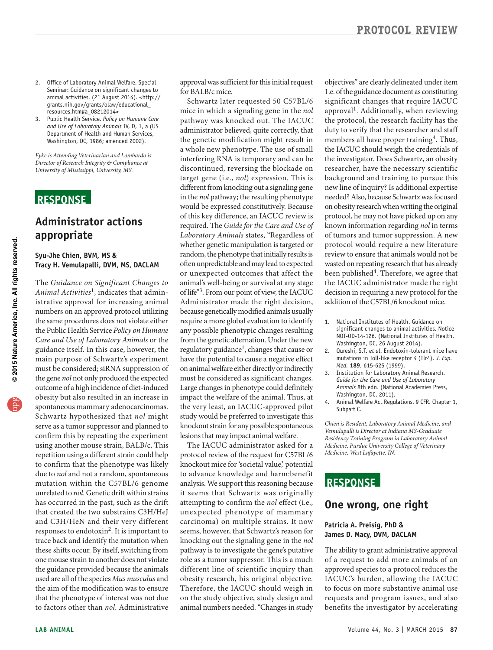- 2. Office of Laboratory Animal Welfare. Special Seminar: Guidance on significant changes to animal activities. (21 August 2014). <http:// grants.nih.gov/grants/olaw/educational\_ resources.htm#a\_08212014>
- 3. Public Health Service. *Policy on Humane Care and Use of Laboratory Animals* IV, D, 1, a (US Department of Health and Human Services, Washington, DC, 1986; amended 2002).

*Fyke is Attending Veterinarian and Lombardo is Director of Research Integrity & Compliance at University of Mississippi, University, MS.* 

## **ReSponSe**

## **Administrator actions appropriate**

**Syu-Jhe Chien, BVM, MS & Tracy H. Vemulapalli, DVM, MS, DACLAM** 

 The *Guidance on Significant Changes to*  main purpose of Schwartz's experiment confirm this by repeating the experiment due to *nol* and not a random, spontaneous and C3H/HeN and their very different one mouse strain to another does not violate the guidance provided because the animals *Animal Activ ities*1, indicates that administrative approval for increasing animal numbers on an approved protocol utilizing the same procedures does not violate either the Public Health Service *Policy on Humane Care and Use of Laboratory Animals* or the guidance itself. In this case, however, the must be considered; siRNA suppression of the gene *nol* not only produced the expected outcome of a high incidence of diet-induced obesity but also resulted in an increase in spontaneous mammary adenocarcinomas. Schwartz hypothesized that nol might serve as a tumor suppressor and planned to using another mouse strain, BALB/c. This repetition using a different strain could help to confirm that the phenotype was likely mutation within the C57BL/6 genome unrelated to *nol*. Genetic drift within strains has occurred in the past, such as the drift that created the two substrains C3H/HeJ responses to endotoxin2. It is important to trace back and identify the mutation when these shifts occur. By itself, switching from used are all of the species *Mus musculus* and the aim of the modification was to ensure that the phenotype of interest was not due to factors other than *nol*. Administrative

approval was sufficient for this initial request for BALB/c mice.

 administrator believed, quite correctly, that whether genetic manipulation is targeted or often unpredictable and may lead to expected or unexpected outcomes that affect the Administrator made the right decision, because genetically modified animals usually any possible phenotypic changes resulting regulatory guidance<sup>1</sup>, changes that cause or have the potential to cause a negative effect on animal welfare either directly or indirectly knockout strain for any possible spontaneous Schwartz later requested 50 C57BL/6 mice in which a signaling gene in the *nol*  pathway was knocked out. The IACUC the genetic modification might result in a whole new phenotype. The use of small interfering RNA is temporary and can be discontinued, reversing the blockade on target gene (i.e., *nol*) expression. This is different from knocking out a signaling gene in the *nol* pathway; the resulting phenotype would be expressed constitutively. Because of this key difference, an IACUC review is required. The *Guide for the Care and Use of Laboratory Animals* states, "Regardless of random, the phenotype that initially results is animal's well-being or survival at any stage of life"3. From our point of view, the IACUC require a more global evaluation to identify from the genetic alternation. Under the new must be considered as significant changes. Large changes in phenotype could definitely impact the welfare of the animal. Thus, at the very least, an IACUC-approved pilot study would be preferred to investigate this lesions that may impact animal welfare.

 knockout mice for 'societal value,' potential it seems that Schwartz was originally unexpected phenotype of mammary seems, however, that Schwartz's reason for pathway is to investigate the gene's putative obesity research, his original objective. Therefore, the IACUC should weigh in animal numbers needed. "Changes in study The IACUC administrator asked for a protocol review of the request for C57BL/6 to advance knowledge and harm:benefit analysis. We support this reasoning because attempting to confirm the *nol* effect (i.e., carcinoma) on multiple strains. It now knocking out the signaling gene in the *nol*  role as a tumor suppressor. This is a much different line of scientific inquiry than on the study objective, study design and

 1.e. of the guidance document as constituting approval<sup>1</sup>. Additionally, when reviewing researcher, have the necessary scientific background and training to pursue this new line of inquiry? Is additional expertise on obesity research when writing the original protocol would require a new literature review to ensure that animals would not be been published<sup>4</sup>. Therefore, we agree that objectives" are clearly delineated under item significant changes that require IACUC the protocol, the research facility has the duty to verify that the researcher and staff members all have proper training<sup>4</sup>. Thus, the IACUC should weigh the credentials of the investigator. Does Schwartz, an obesity needed? Also, because Schwartz was focused protocol, he may not have picked up on any known information regarding *nol* in terms of tumors and tumor suppression. A new wasted on repeating research that has already the IACUC administrator made the right decision in requiring a new protocol for the addition of the C57BL/6 knockout mice.

- 1. National Institutes of Health. Guidance on significant changes to animal activities. Notice NOT-OD-14-126. (National Institutes of Health, Washington, DC, 26 August 2014).
- 2. Qureshi, S.T. *et al*. Endotoxin-tolerant mice have mutations in Toll-like receptor 4 (Tlr4). *J. Exp. Med.* **189**, 615-625 (1999).
- 3. Institution for Laboratory Animal Research. *Guide for the Care and Use of Laboratory Animals* 8th edn. (National Academies Press, Washington, DC, 2011).
- 4. Animal Welfare Act Regulations. 9 CFR. Chapter 1, Subpart C.

*Chien is Resident, Laboratory Animal Medicine, and Vemulapalli is Director at Indiana MS-Graduate Residency Training Program in Laboratory Animal Medicine, Purdue University College of Veterinary Medicine, West Lafayette, IN.* 

## **ReSponSe**

#### **one wrong, one right**

#### **patricia A. preisig, phD & James D. Macy, DVM, DACLAM**

 The ability to grant administrative approval benefits the investigator by accelerating of a request to add more animals of an approved species to a protocol reduces the IACUC 's burden, allowing the IACUC to focus on more substantive animal use requests and program issues, and also